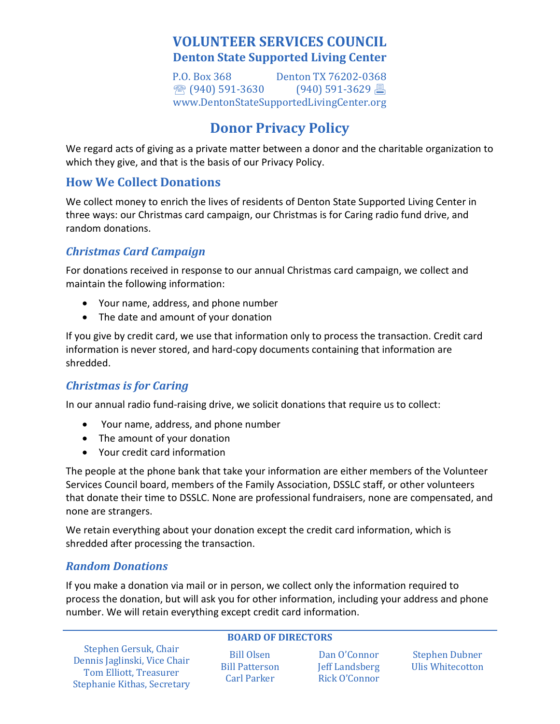## **VOLUNTEER SERVICES COUNCIL Denton State Supported Living Center**

P.O. Box 368 Denton TX 76202-0368<br>  $\mathbb{R}$  (940) 591-3630 (940) 591-3629  $\binom{10}{3}$  (940) 591-3630 [www.DentonStateSupportedLivingCenter.org](http://www.dentonstatesupportedlivingcenter.org/)

# **Donor Privacy Policy**

We regard acts of giving as a private matter between a donor and the charitable organization to which they give, and that is the basis of our Privacy Policy.

## **How We Collect Donations**

We collect money to enrich the lives of residents of Denton State Supported Living Center in three ways: our Christmas card campaign, our Christmas is for Caring radio fund drive, and random donations.

#### *Christmas Card Campaign*

For donations received in response to our annual Christmas card campaign, we collect and maintain the following information:

- Your name, address, and phone number
- The date and amount of your donation

If you give by credit card, we use that information only to process the transaction. Credit card information is never stored, and hard-copy documents containing that information are shredded.

#### *Christmas is for Caring*

In our annual radio fund-raising drive, we solicit donations that require us to collect:

- Your name, address, and phone number
- The amount of your donation
- Your credit card information

The people at the phone bank that take your information are either members of the Volunteer Services Council board, members of the Family Association, DSSLC staff, or other volunteers that donate their time to DSSLC. None are professional fundraisers, none are compensated, and none are strangers.

We retain everything about your donation except the credit card information, which is shredded after processing the transaction.

#### *Random Donations*

If you make a donation via mail or in person, we collect only the information required to process the donation, but will ask you for other information, including your address and phone number. We will retain everything except credit card information.

|  | <b>BOARD OF DIRECTORS</b> |
|--|---------------------------|
|  |                           |

Bill Olsen Bill Patterson Carl Parker

Dan O'Connor Jeff Landsberg Rick O'Connor

Stephen Dubner Ulis Whitecotton

Stephen Gersuk, Chair Dennis Jaglinski, Vice Chair Tom Elliott, Treasurer Stephanie Kithas, Secretary